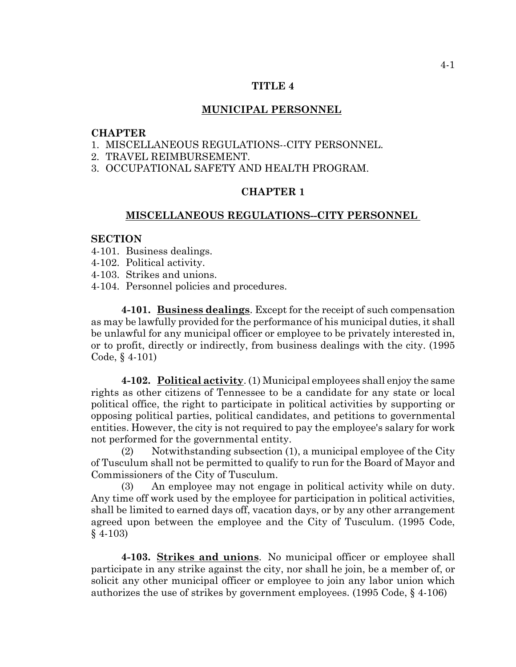### **TITLE 4**

### **MUNICIPAL PERSONNEL**

#### **CHAPTER**

- 1. MISCELLANEOUS REGULATIONS--CITY PERSONNEL.
- 2. TRAVEL REIMBURSEMENT.

3. OCCUPATIONAL SAFETY AND HEALTH PROGRAM.

## **CHAPTER 1**

#### **MISCELLANEOUS REGULATIONS--CITY PERSONNEL**

### **SECTION**

- 4-101. Business dealings.
- 4-102. Political activity.
- 4-103. Strikes and unions.
- 4-104. Personnel policies and procedures.

**4-101. Business dealings**. Except for the receipt of such compensation as may be lawfully provided for the performance of his municipal duties, it shall be unlawful for any municipal officer or employee to be privately interested in, or to profit, directly or indirectly, from business dealings with the city. (1995 Code, § 4-101)

**4-102. Political activity**. (1) Municipal employees shall enjoy the same rights as other citizens of Tennessee to be a candidate for any state or local political office, the right to participate in political activities by supporting or opposing political parties, political candidates, and petitions to governmental entities. However, the city is not required to pay the employee's salary for work not performed for the governmental entity.

(2) Notwithstanding subsection (1), a municipal employee of the City of Tusculum shall not be permitted to qualify to run for the Board of Mayor and Commissioners of the City of Tusculum.

(3) An employee may not engage in political activity while on duty. Any time off work used by the employee for participation in political activities, shall be limited to earned days off, vacation days, or by any other arrangement agreed upon between the employee and the City of Tusculum. (1995 Code, § 4-103)

**4-103. Strikes and unions**. No municipal officer or employee shall participate in any strike against the city, nor shall he join, be a member of, or solicit any other municipal officer or employee to join any labor union which authorizes the use of strikes by government employees. (1995 Code, § 4-106)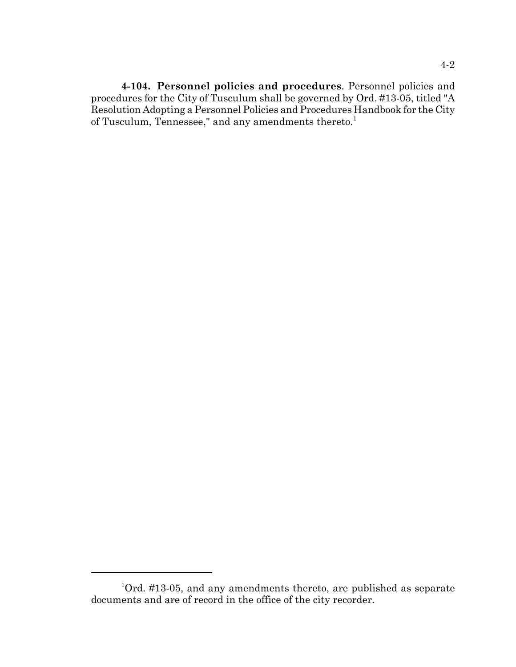**4-104. Personnel policies and procedures**. Personnel policies and procedures for the City of Tusculum shall be governed by Ord. #13-05, titled "A Resolution Adopting a Personnel Policies and Procedures Handbook for the City of Tusculum, Tennessee," and any amendments thereto.<sup>1</sup>

 $10rd.$  #13-05, and any amendments thereto, are published as separate documents and are of record in the office of the city recorder.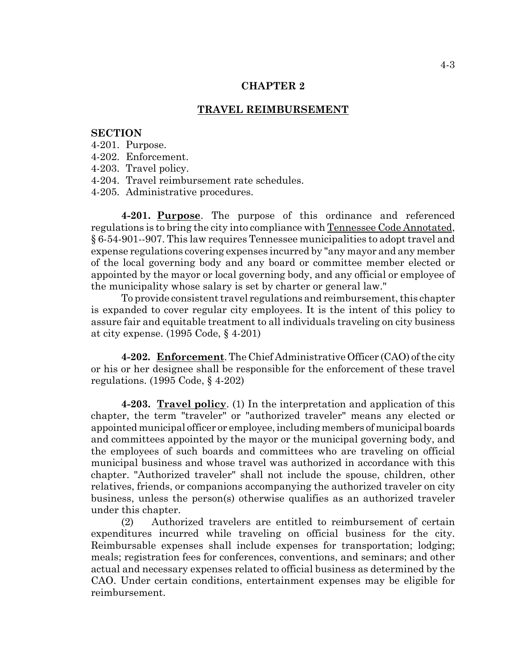#### **CHAPTER 2**

### **TRAVEL REIMBURSEMENT**

## **SECTION**

- 4-201. Purpose.
- 4-202. Enforcement.
- 4-203. Travel policy.
- 4-204. Travel reimbursement rate schedules.
- 4-205. Administrative procedures.

**4-201. Purpose**. The purpose of this ordinance and referenced regulations is to bring the city into compliance with Tennessee Code Annotated, § 6-54-901--907. This law requires Tennessee municipalities to adopt travel and expense regulations covering expenses incurred by "any mayor and any member of the local governing body and any board or committee member elected or appointed by the mayor or local governing body, and any official or employee of the municipality whose salary is set by charter or general law."

To provide consistent travel regulations and reimbursement, this chapter is expanded to cover regular city employees. It is the intent of this policy to assure fair and equitable treatment to all individuals traveling on city business at city expense. (1995 Code, § 4-201)

**4-202. Enforcement**. The Chief Administrative Officer (CAO) of the city or his or her designee shall be responsible for the enforcement of these travel regulations. (1995 Code, § 4-202)

**4-203. Travel policy**. (1) In the interpretation and application of this chapter, the term "traveler" or "authorized traveler" means any elected or appointed municipal officer or employee, including members of municipal boards and committees appointed by the mayor or the municipal governing body, and the employees of such boards and committees who are traveling on official municipal business and whose travel was authorized in accordance with this chapter. "Authorized traveler" shall not include the spouse, children, other relatives, friends, or companions accompanying the authorized traveler on city business, unless the person(s) otherwise qualifies as an authorized traveler under this chapter.

(2) Authorized travelers are entitled to reimbursement of certain expenditures incurred while traveling on official business for the city. Reimbursable expenses shall include expenses for transportation; lodging; meals; registration fees for conferences, conventions, and seminars; and other actual and necessary expenses related to official business as determined by the CAO. Under certain conditions, entertainment expenses may be eligible for reimbursement.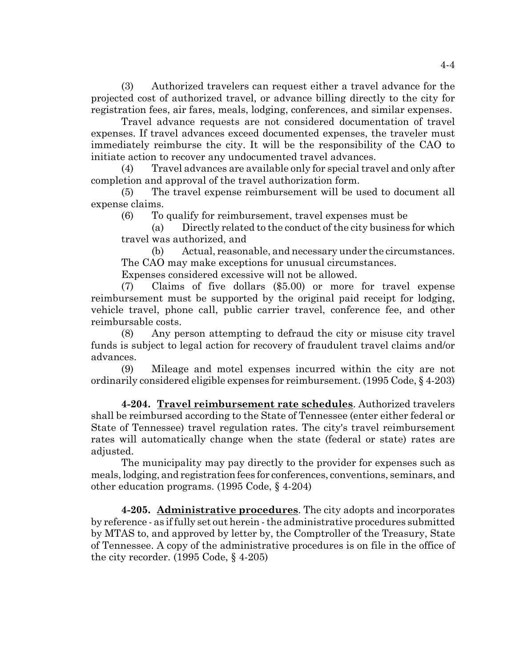(3) Authorized travelers can request either a travel advance for the projected cost of authorized travel, or advance billing directly to the city for registration fees, air fares, meals, lodging, conferences, and similar expenses.

Travel advance requests are not considered documentation of travel expenses. If travel advances exceed documented expenses, the traveler must immediately reimburse the city. It will be the responsibility of the CAO to initiate action to recover any undocumented travel advances.

(4) Travel advances are available only for special travel and only after completion and approval of the travel authorization form.

(5) The travel expense reimbursement will be used to document all expense claims.

(6) To qualify for reimbursement, travel expenses must be

(a) Directly related to the conduct of the city business for which travel was authorized, and

(b) Actual, reasonable, and necessary under the circumstances. The CAO may make exceptions for unusual circumstances.

Expenses considered excessive will not be allowed.

(7) Claims of five dollars (\$5.00) or more for travel expense reimbursement must be supported by the original paid receipt for lodging, vehicle travel, phone call, public carrier travel, conference fee, and other reimbursable costs.

(8) Any person attempting to defraud the city or misuse city travel funds is subject to legal action for recovery of fraudulent travel claims and/or advances.

(9) Mileage and motel expenses incurred within the city are not ordinarily considered eligible expenses for reimbursement. (1995 Code, § 4-203)

**4-204. Travel reimbursement rate schedules**. Authorized travelers shall be reimbursed according to the State of Tennessee (enter either federal or State of Tennessee) travel regulation rates. The city's travel reimbursement rates will automatically change when the state (federal or state) rates are adjusted.

The municipality may pay directly to the provider for expenses such as meals, lodging, and registration fees for conferences, conventions, seminars, and other education programs. (1995 Code, § 4-204)

**4-205. Administrative procedures**. The city adopts and incorporates by reference - as if fully set out herein - the administrative procedures submitted by MTAS to, and approved by letter by, the Comptroller of the Treasury, State of Tennessee. A copy of the administrative procedures is on file in the office of the city recorder. (1995 Code, § 4-205)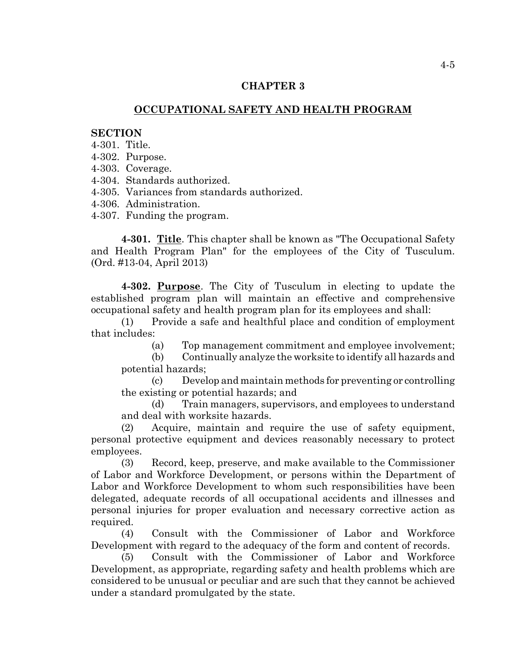### **CHAPTER 3**

# **OCCUPATIONAL SAFETY AND HEALTH PROGRAM**

## **SECTION**

- 4-301. Title.
- 4-302. Purpose.
- 4-303. Coverage.
- 4-304. Standards authorized.
- 4-305. Variances from standards authorized.
- 4-306. Administration.
- 4-307. Funding the program.

**4-301. Title**. This chapter shall be known as "The Occupational Safety and Health Program Plan" for the employees of the City of Tusculum. (Ord. #13-04, April 2013)

**4-302. Purpose**. The City of Tusculum in electing to update the established program plan will maintain an effective and comprehensive occupational safety and health program plan for its employees and shall:

(1) Provide a safe and healthful place and condition of employment that includes:

- (a) Top management commitment and employee involvement;
- (b) Continually analyze the worksite to identify all hazards and potential hazards;

(c) Develop and maintain methods for preventing or controlling the existing or potential hazards; and

(d) Train managers, supervisors, and employees to understand and deal with worksite hazards.

(2) Acquire, maintain and require the use of safety equipment, personal protective equipment and devices reasonably necessary to protect employees.

(3) Record, keep, preserve, and make available to the Commissioner of Labor and Workforce Development, or persons within the Department of Labor and Workforce Development to whom such responsibilities have been delegated, adequate records of all occupational accidents and illnesses and personal injuries for proper evaluation and necessary corrective action as required.

(4) Consult with the Commissioner of Labor and Workforce Development with regard to the adequacy of the form and content of records.

(5) Consult with the Commissioner of Labor and Workforce Development, as appropriate, regarding safety and health problems which are considered to be unusual or peculiar and are such that they cannot be achieved under a standard promulgated by the state.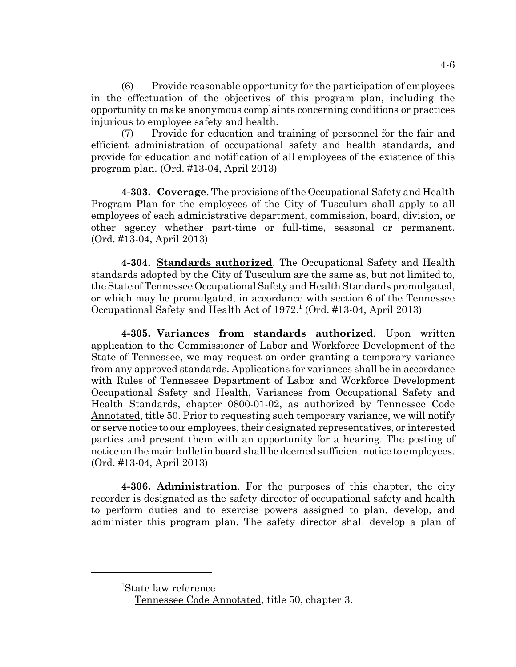(6) Provide reasonable opportunity for the participation of employees in the effectuation of the objectives of this program plan, including the opportunity to make anonymous complaints concerning conditions or practices injurious to employee safety and health.

(7) Provide for education and training of personnel for the fair and efficient administration of occupational safety and health standards, and provide for education and notification of all employees of the existence of this program plan. (Ord. #13-04, April 2013)

**4-303. Coverage**. The provisions of the Occupational Safety and Health Program Plan for the employees of the City of Tusculum shall apply to all employees of each administrative department, commission, board, division, or other agency whether part-time or full-time, seasonal or permanent. (Ord. #13-04, April 2013)

**4-304. Standards authorized**. The Occupational Safety and Health standards adopted by the City of Tusculum are the same as, but not limited to, the State of Tennessee Occupational Safety and Health Standards promulgated, or which may be promulgated, in accordance with section 6 of the Tennessee Occupational Safety and Health Act of 1972.<sup>1</sup> (Ord. #13-04, April 2013)

**4-305. Variances from standards authorized**. Upon written application to the Commissioner of Labor and Workforce Development of the State of Tennessee, we may request an order granting a temporary variance from any approved standards. Applications for variances shall be in accordance with Rules of Tennessee Department of Labor and Workforce Development Occupational Safety and Health, Variances from Occupational Safety and Health Standards, chapter 0800-01-02, as authorized by Tennessee Code Annotated, title 50. Prior to requesting such temporary variance, we will notify or serve notice to our employees, their designated representatives, or interested parties and present them with an opportunity for a hearing. The posting of notice on the main bulletin board shall be deemed sufficient notice to employees. (Ord. #13-04, April 2013)

**4-306. Administration**. For the purposes of this chapter, the city recorder is designated as the safety director of occupational safety and health to perform duties and to exercise powers assigned to plan, develop, and administer this program plan. The safety director shall develop a plan of

<sup>1</sup> State law reference

Tennessee Code Annotated, title 50, chapter 3.